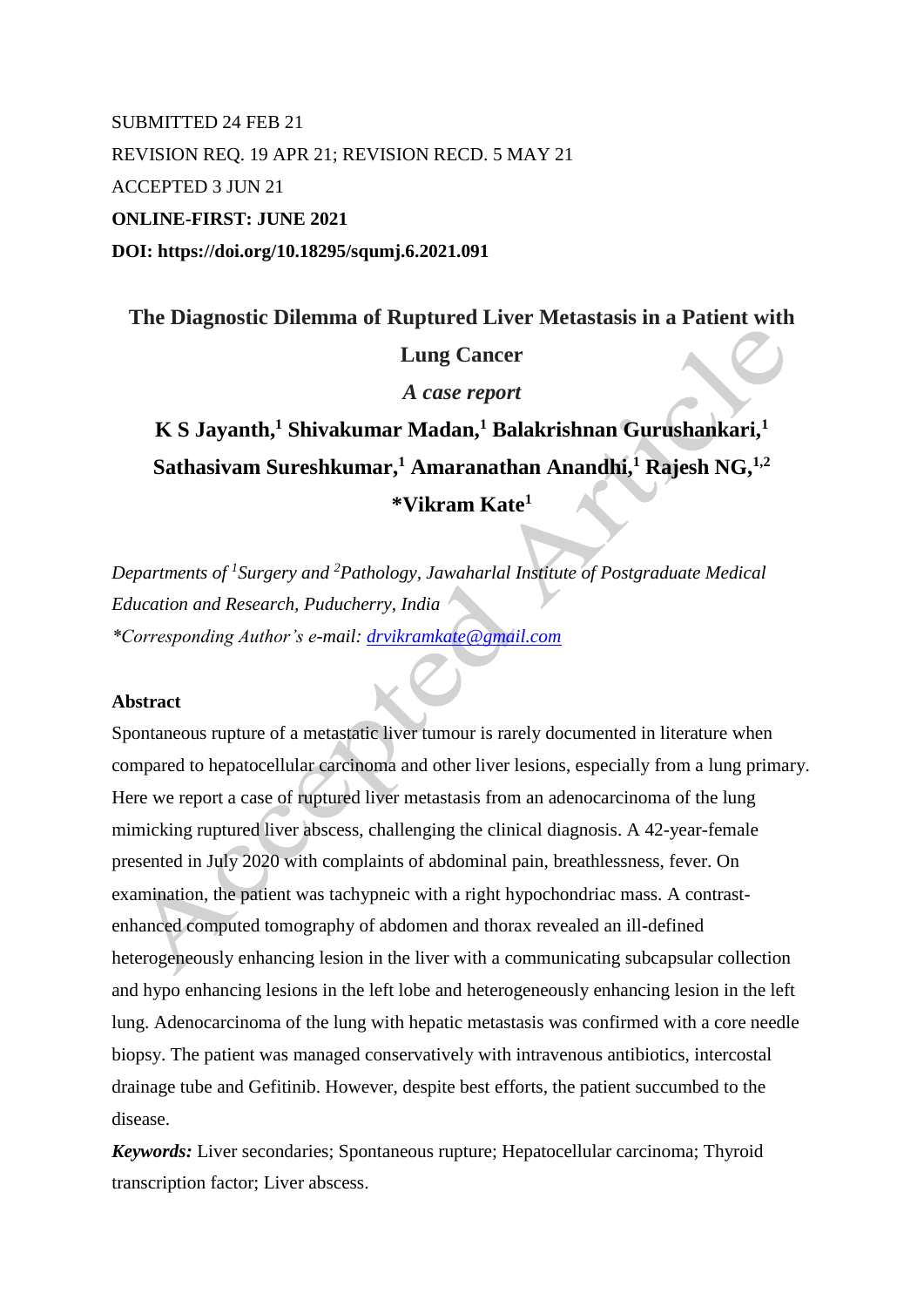# SUBMITTED 24 FEB 21 REVISION REQ. 19 APR 21; REVISION RECD. 5 MAY 21 ACCEPTED 3 JUN 21 **ONLINE-FIRST: JUNE 2021 DOI: https://doi.org/10.18295/squmj.6.2021.091**

# **The Diagnostic Dilemma of Ruptured Liver Metastasis in a Patient with**

# **Lung Cancer**

*A case report*

# **K S Jayanth,<sup>1</sup> Shivakumar Madan,<sup>1</sup> Balakrishnan Gurushankari,<sup>1</sup> Sathasivam Sureshkumar,<sup>1</sup> Amaranathan Anandhi,<sup>1</sup> Rajesh NG,1,2 \*Vikram Kate<sup>1</sup>**

*Departments of <sup>1</sup> Surgery and <sup>2</sup>Pathology, Jawaharlal Institute of Postgraduate Medical Education and Research, Puducherry, India \*Corresponding Author's e-mail: [drvikramkate@gmail.com](mailto:drvikramkate@gmail.com)*

### **Abstract**

Spontaneous rupture of a metastatic liver tumour is rarely documented in literature when compared to hepatocellular carcinoma and other liver lesions, especially from a lung primary. Here we report a case of ruptured liver metastasis from an adenocarcinoma of the lung mimicking ruptured liver abscess, challenging the clinical diagnosis. A 42-year-female presented in July 2020 with complaints of abdominal pain, breathlessness, fever. On examination, the patient was tachypneic with a right hypochondriac mass. A contrastenhanced computed tomography of abdomen and thorax revealed an ill-defined heterogeneously enhancing lesion in the liver with a communicating subcapsular collection and hypo enhancing lesions in the left lobe and heterogeneously enhancing lesion in the left lung. Adenocarcinoma of the lung with hepatic metastasis was confirmed with a core needle biopsy. The patient was managed conservatively with intravenous antibiotics, intercostal drainage tube and Gefitinib. However, despite best efforts, the patient succumbed to the disease.

*Keywords:* Liver secondaries; Spontaneous rupture; Hepatocellular carcinoma; Thyroid transcription factor; Liver abscess.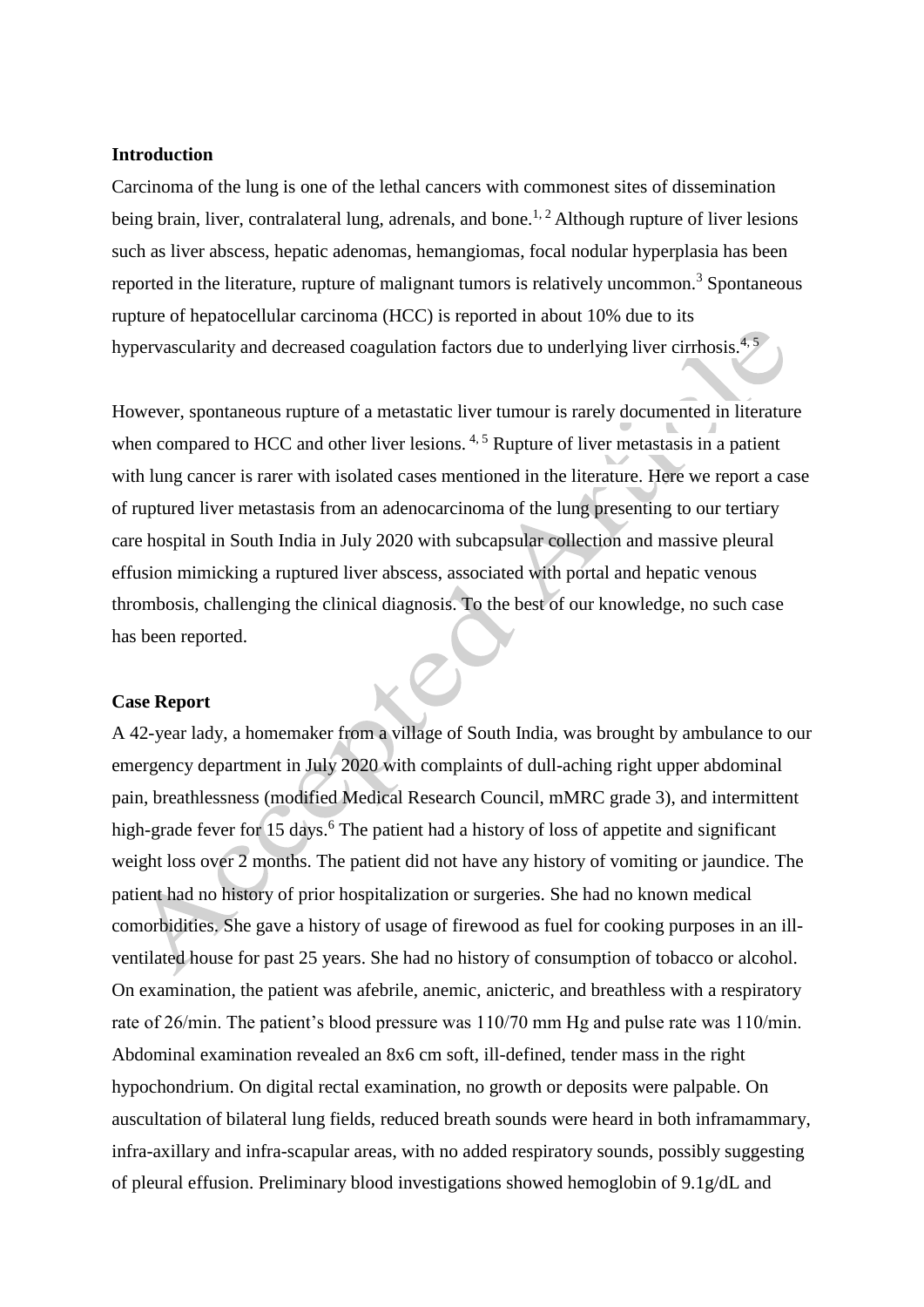## **Introduction**

Carcinoma of the lung is one of the lethal cancers with commonest sites of dissemination being brain, liver, contralateral lung, adrenals, and bone.<sup>1, 2</sup> Although rupture of liver lesions such as liver abscess, hepatic adenomas, hemangiomas, focal nodular hyperplasia has been reported in the literature, rupture of malignant tumors is relatively uncommon.<sup>3</sup> Spontaneous rupture of hepatocellular carcinoma (HCC) is reported in about 10% due to its hypervascularity and decreased coagulation factors due to underlying liver cirrhosis. $4$ ,

However, spontaneous rupture of a metastatic liver tumour is rarely documented in literature when compared to HCC and other liver lesions.  $4.5$  Rupture of liver metastasis in a patient with lung cancer is rarer with isolated cases mentioned in the literature. Here we report a case of ruptured liver metastasis from an adenocarcinoma of the lung presenting to our tertiary care hospital in South India in July 2020 with subcapsular collection and massive pleural effusion mimicking a ruptured liver abscess, associated with portal and hepatic venous thrombosis, challenging the clinical diagnosis. To the best of our knowledge, no such case has been reported.

#### **Case Report**

A 42-year lady, a homemaker from a village of South India, was brought by ambulance to our emergency department in July 2020 with complaints of dull-aching right upper abdominal pain, breathlessness (modified Medical Research Council, mMRC grade 3), and intermittent high-grade fever for 15 days.<sup>6</sup> The patient had a history of loss of appetite and significant weight loss over 2 months. The patient did not have any history of vomiting or jaundice. The patient had no history of prior hospitalization or surgeries. She had no known medical comorbidities. She gave a history of usage of firewood as fuel for cooking purposes in an illventilated house for past 25 years. She had no history of consumption of tobacco or alcohol. On examination, the patient was afebrile, anemic, anicteric, and breathless with a respiratory rate of 26/min. The patient's blood pressure was 110/70 mm Hg and pulse rate was 110/min. Abdominal examination revealed an 8x6 cm soft, ill-defined, tender mass in the right hypochondrium. On digital rectal examination, no growth or deposits were palpable. On auscultation of bilateral lung fields, reduced breath sounds were heard in both inframammary, infra-axillary and infra-scapular areas, with no added respiratory sounds, possibly suggesting of pleural effusion. Preliminary blood investigations showed hemoglobin of 9.1g/dL and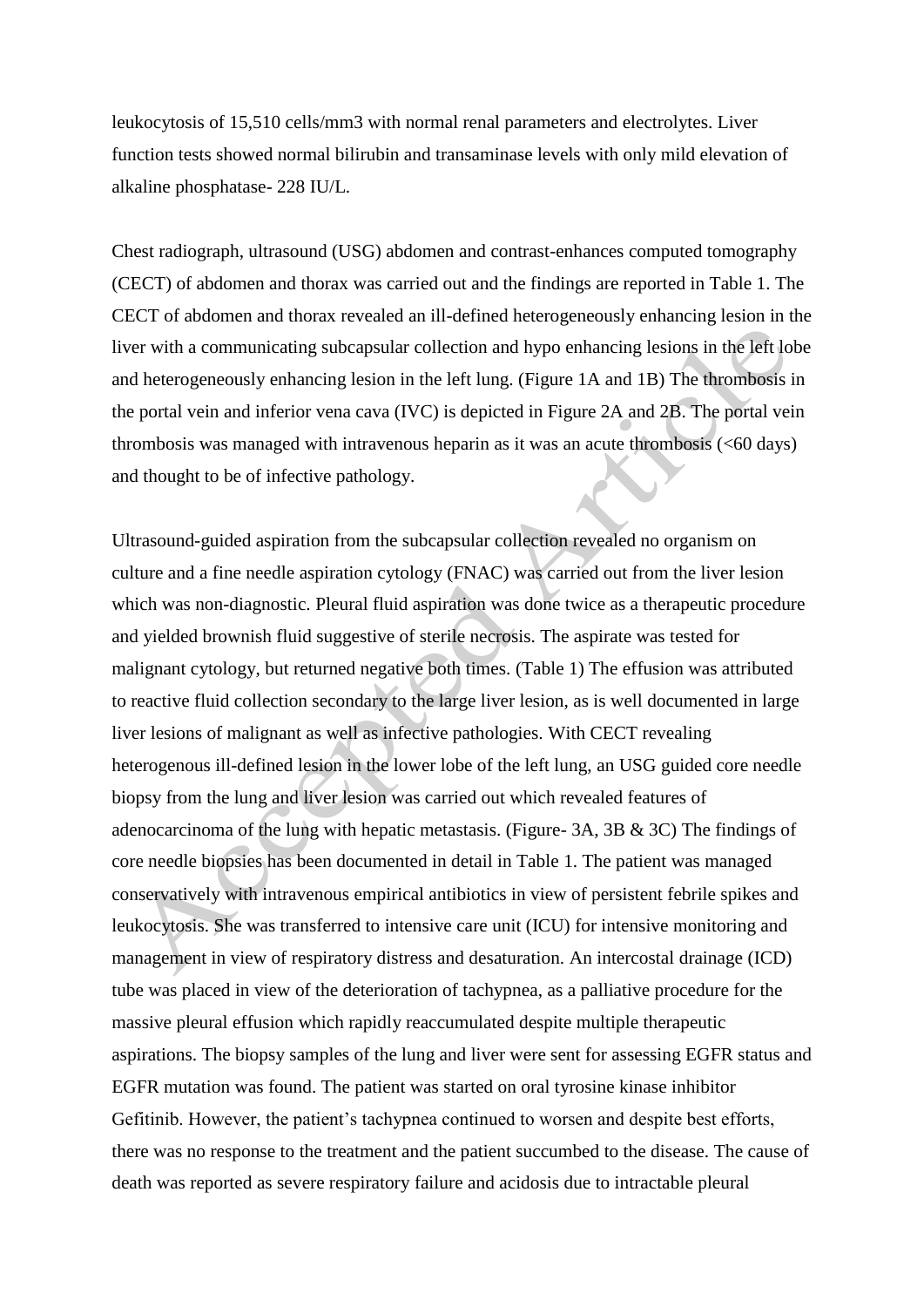leukocytosis of 15,510 cells/mm3 with normal renal parameters and electrolytes. Liver function tests showed normal bilirubin and transaminase levels with only mild elevation of alkaline phosphatase- 228 IU/L.

Chest radiograph, ultrasound (USG) abdomen and contrast-enhances computed tomography (CECT) of abdomen and thorax was carried out and the findings are reported in Table 1. The CECT of abdomen and thorax revealed an ill-defined heterogeneously enhancing lesion in the liver with a communicating subcapsular collection and hypo enhancing lesions in the left lobe and heterogeneously enhancing lesion in the left lung. (Figure 1A and 1B) The thrombosis in the portal vein and inferior vena cava (IVC) is depicted in Figure 2A and 2B. The portal vein thrombosis was managed with intravenous heparin as it was an acute thrombosis (<60 days) and thought to be of infective pathology.

Ultrasound-guided aspiration from the subcapsular collection revealed no organism on culture and a fine needle aspiration cytology (FNAC) was carried out from the liver lesion which was non-diagnostic. Pleural fluid aspiration was done twice as a therapeutic procedure and yielded brownish fluid suggestive of sterile necrosis. The aspirate was tested for malignant cytology, but returned negative both times. (Table 1) The effusion was attributed to reactive fluid collection secondary to the large liver lesion, as is well documented in large liver lesions of malignant as well as infective pathologies. With CECT revealing heterogenous ill-defined lesion in the lower lobe of the left lung, an USG guided core needle biopsy from the lung and liver lesion was carried out which revealed features of adenocarcinoma of the lung with hepatic metastasis. (Figure- 3A, 3B & 3C) The findings of core needle biopsies has been documented in detail in Table 1. The patient was managed conservatively with intravenous empirical antibiotics in view of persistent febrile spikes and leukocytosis. She was transferred to intensive care unit (ICU) for intensive monitoring and management in view of respiratory distress and desaturation. An intercostal drainage (ICD) tube was placed in view of the deterioration of tachypnea, as a palliative procedure for the massive pleural effusion which rapidly reaccumulated despite multiple therapeutic aspirations. The biopsy samples of the lung and liver were sent for assessing EGFR status and EGFR mutation was found. The patient was started on oral tyrosine kinase inhibitor Gefitinib. However, the patient's tachypnea continued to worsen and despite best efforts, there was no response to the treatment and the patient succumbed to the disease. The cause of death was reported as severe respiratory failure and acidosis due to intractable pleural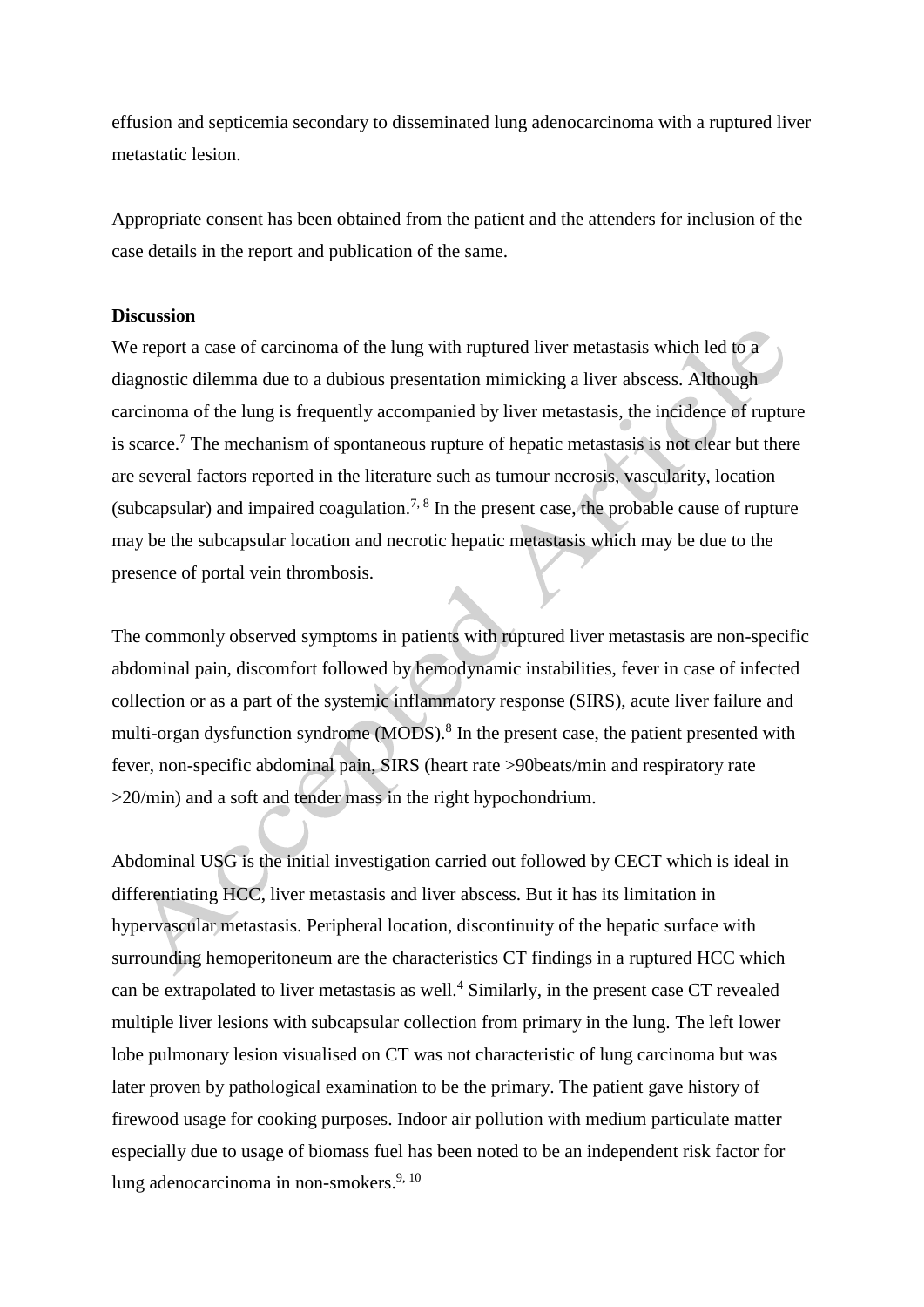effusion and septicemia secondary to disseminated lung adenocarcinoma with a ruptured liver metastatic lesion.

Appropriate consent has been obtained from the patient and the attenders for inclusion of the case details in the report and publication of the same.

## **Discussion**

We report a case of carcinoma of the lung with ruptured liver metastasis which led to a diagnostic dilemma due to a dubious presentation mimicking a liver abscess. Although carcinoma of the lung is frequently accompanied by liver metastasis, the incidence of rupture is scarce.<sup>7</sup> The mechanism of spontaneous rupture of hepatic metastasis is not clear but there are several factors reported in the literature such as tumour necrosis, vascularity, location (subcapsular) and impaired coagulation.<sup>7, 8</sup> In the present case, the probable cause of rupture may be the subcapsular location and necrotic hepatic metastasis which may be due to the presence of portal vein thrombosis.

The commonly observed symptoms in patients with ruptured liver metastasis are non-specific abdominal pain, discomfort followed by hemodynamic instabilities, fever in case of infected collection or as a part of the systemic inflammatory response (SIRS), acute liver failure and multi-organ dysfunction syndrome (MODS).<sup>8</sup> In the present case, the patient presented with fever, non-specific abdominal pain, SIRS (heart rate >90beats/min and respiratory rate >20/min) and a soft and tender mass in the right hypochondrium.

Abdominal USG is the initial investigation carried out followed by CECT which is ideal in differentiating HCC, liver metastasis and liver abscess. But it has its limitation in hypervascular metastasis. Peripheral location, discontinuity of the hepatic surface with surrounding hemoperitoneum are the characteristics CT findings in a ruptured HCC which can be extrapolated to liver metastasis as well.<sup>4</sup> Similarly, in the present case CT revealed multiple liver lesions with subcapsular collection from primary in the lung. The left lower lobe pulmonary lesion visualised on CT was not characteristic of lung carcinoma but was later proven by pathological examination to be the primary. The patient gave history of firewood usage for cooking purposes. Indoor air pollution with medium particulate matter especially due to usage of biomass fuel has been noted to be an independent risk factor for lung adenocarcinoma in non-smokers. $9,10$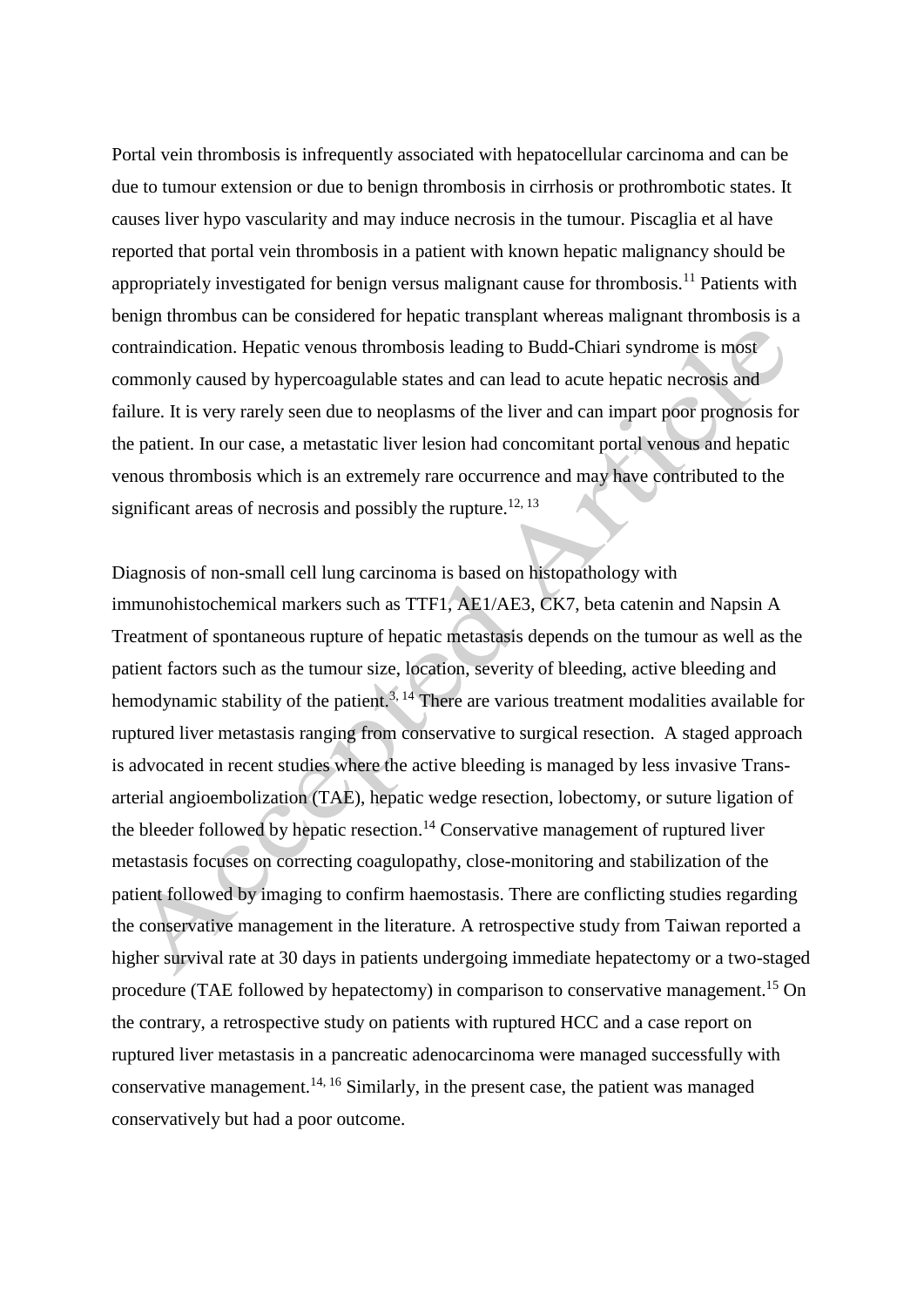Portal vein thrombosis is infrequently associated with hepatocellular carcinoma and can be due to tumour extension or due to benign thrombosis in cirrhosis or prothrombotic states. It causes liver hypo vascularity and may induce necrosis in the tumour. Piscaglia et al have reported that portal vein thrombosis in a patient with known hepatic malignancy should be appropriately investigated for benign versus malignant cause for thrombosis.<sup>11</sup> Patients with benign thrombus can be considered for hepatic transplant whereas malignant thrombosis is a contraindication. Hepatic venous thrombosis leading to Budd-Chiari syndrome is most commonly caused by hypercoagulable states and can lead to acute hepatic necrosis and failure. It is very rarely seen due to neoplasms of the liver and can impart poor prognosis for the patient. In our case, a metastatic liver lesion had concomitant portal venous and hepatic venous thrombosis which is an extremely rare occurrence and may have contributed to the significant areas of necrosis and possibly the rupture.<sup>12, 13</sup>

Diagnosis of non-small cell lung carcinoma is based on histopathology with immunohistochemical markers such as TTF1, AE1/AE3, CK7, beta catenin and Napsin A Treatment of spontaneous rupture of hepatic metastasis depends on the tumour as well as the patient factors such as the tumour size, location, severity of bleeding, active bleeding and hemodynamic stability of the patient.<sup>3, 14</sup> There are various treatment modalities available for ruptured liver metastasis ranging from conservative to surgical resection. A staged approach is advocated in recent studies where the active bleeding is managed by less invasive Transarterial angioembolization (TAE), hepatic wedge resection, lobectomy, or suture ligation of the bleeder followed by hepatic resection.<sup>14</sup> Conservative management of ruptured liver metastasis focuses on correcting coagulopathy, close-monitoring and stabilization of the patient followed by imaging to confirm haemostasis. There are conflicting studies regarding the conservative management in the literature. A retrospective study from Taiwan reported a higher survival rate at 30 days in patients undergoing immediate hepatectomy or a two-staged procedure (TAE followed by hepatectomy) in comparison to conservative management.<sup>15</sup> On the contrary, a retrospective study on patients with ruptured HCC and a case report on ruptured liver metastasis in a pancreatic adenocarcinoma were managed successfully with conservative management.<sup>14, 16</sup> Similarly, in the present case, the patient was managed conservatively but had a poor outcome.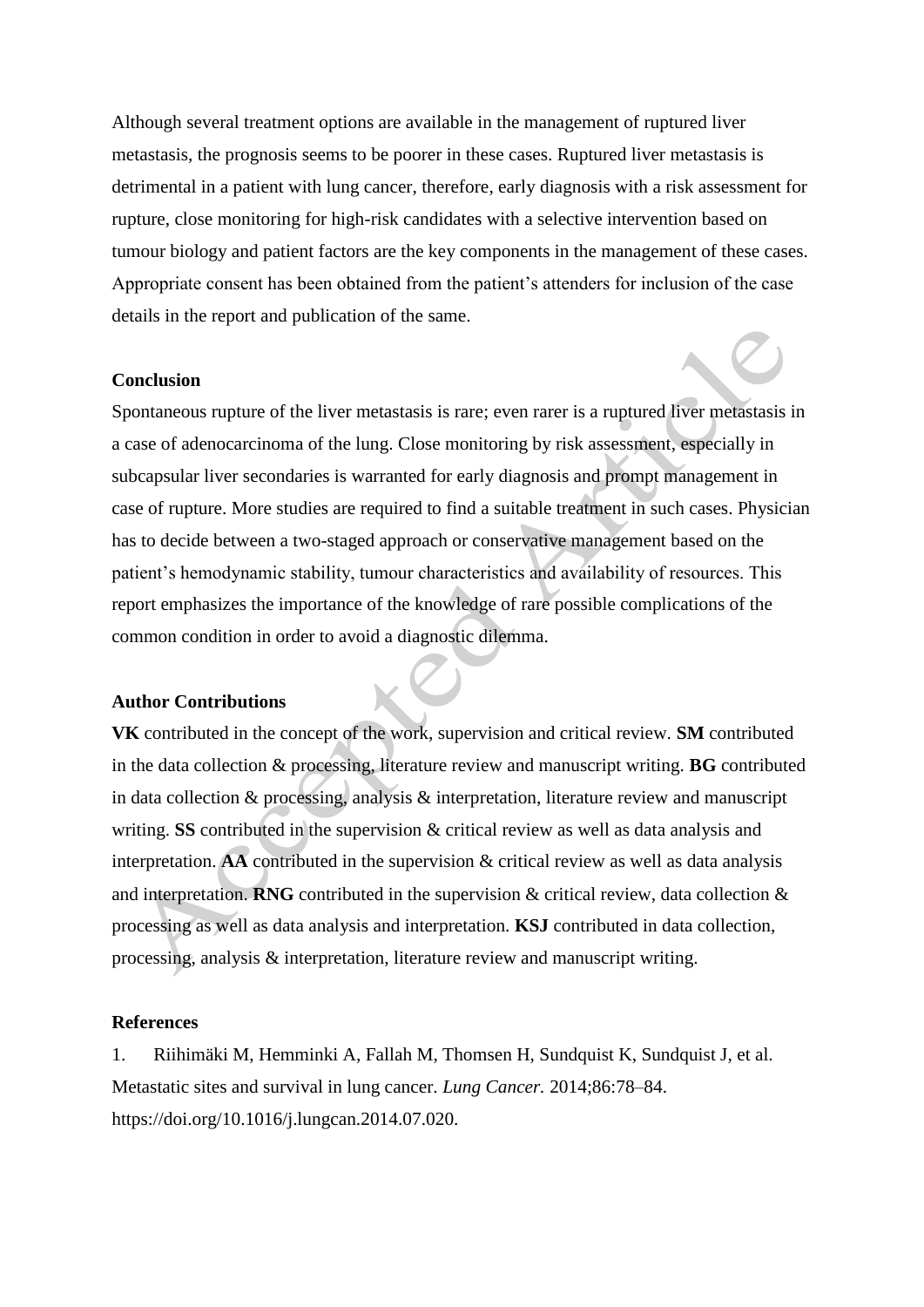Although several treatment options are available in the management of ruptured liver metastasis, the prognosis seems to be poorer in these cases. Ruptured liver metastasis is detrimental in a patient with lung cancer, therefore, early diagnosis with a risk assessment for rupture, close monitoring for high-risk candidates with a selective intervention based on tumour biology and patient factors are the key components in the management of these cases. Appropriate consent has been obtained from the patient's attenders for inclusion of the case details in the report and publication of the same.

#### **Conclusion**

Spontaneous rupture of the liver metastasis is rare; even rarer is a ruptured liver metastasis in a case of adenocarcinoma of the lung. Close monitoring by risk assessment, especially in subcapsular liver secondaries is warranted for early diagnosis and prompt management in case of rupture. More studies are required to find a suitable treatment in such cases. Physician has to decide between a two-staged approach or conservative management based on the patient's hemodynamic stability, tumour characteristics and availability of resources. This report emphasizes the importance of the knowledge of rare possible complications of the common condition in order to avoid a diagnostic dilemma.

#### **Author Contributions**

**VK** contributed in the concept of the work, supervision and critical review. **SM** contributed in the data collection & processing, literature review and manuscript writing. **BG** contributed in data collection & processing, analysis & interpretation, literature review and manuscript writing. **SS** contributed in the supervision & critical review as well as data analysis and interpretation. **AA** contributed in the supervision & critical review as well as data analysis and interpretation. **RNG** contributed in the supervision & critical review, data collection & processing as well as data analysis and interpretation. **KSJ** contributed in data collection, processing, analysis & interpretation, literature review and manuscript writing.

### **References**

1. Riihimäki M, Hemminki A, Fallah M, Thomsen H, Sundquist K, Sundquist J, et al. Metastatic sites and survival in lung cancer. *Lung Cancer.* 2014;86:78–84. https://doi.org/10.1016/j.lungcan.2014.07.020.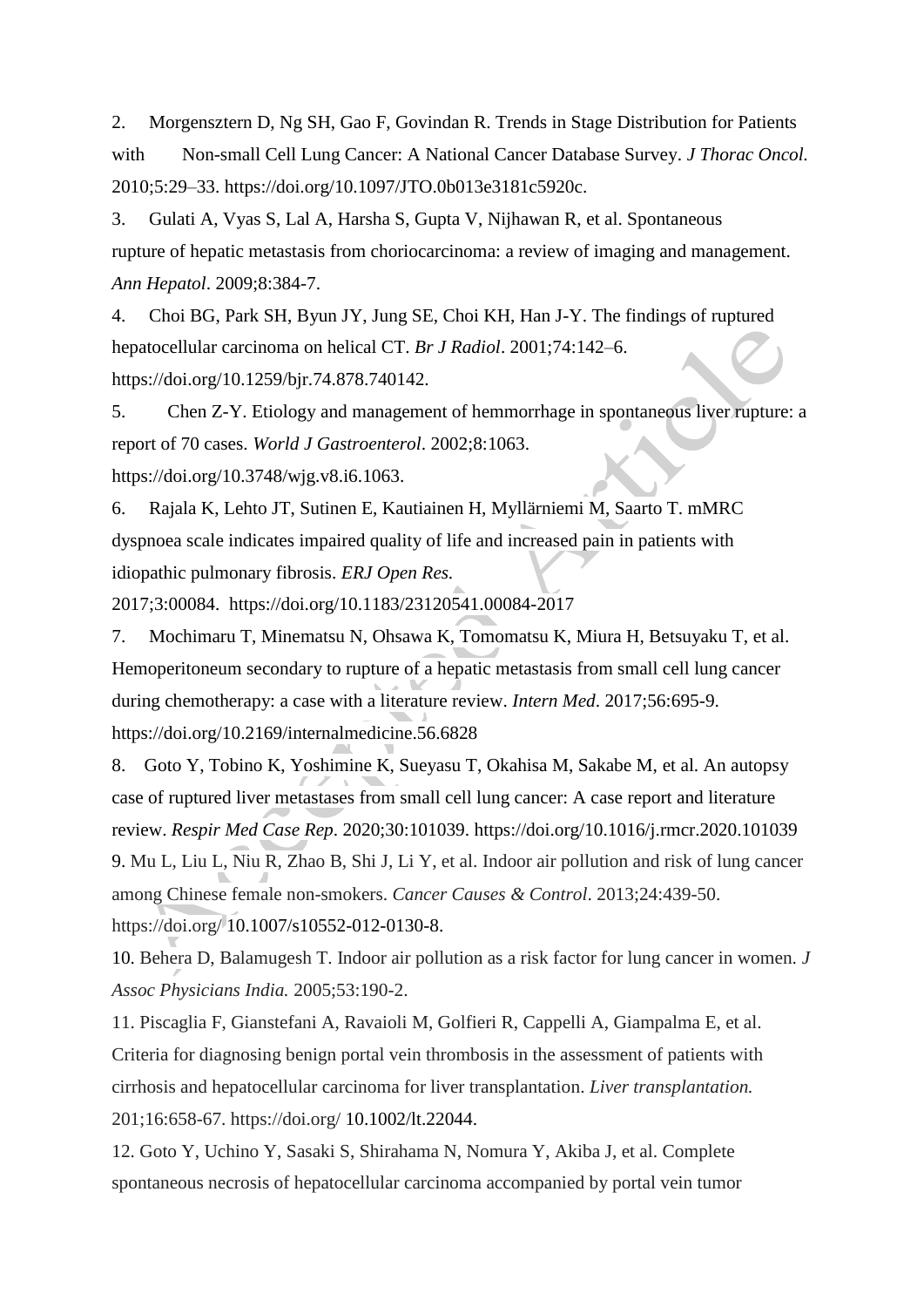2. Morgensztern D, Ng SH, Gao F, Govindan R. Trends in Stage Distribution for Patients with Non-small Cell Lung Cancer: A National Cancer Database Survey. *J Thorac Oncol.*  2010;5:29–33. https://doi.org/10.1097/JTO.0b013e3181c5920c.

3. Gulati A, Vyas S, Lal A, Harsha S, Gupta V, Nijhawan R, et al. Spontaneous rupture of hepatic metastasis from choriocarcinoma: a review of imaging and management. *Ann Hepatol*. 2009;8:384-7.

4. Choi BG, Park SH, Byun JY, Jung SE, Choi KH, Han J-Y. The findings of ruptured hepatocellular carcinoma on helical CT. *Br J Radiol*. 2001;74:142–6. https://doi.org/10.1259/bjr.74.878.740142.

5. Chen Z-Y. Etiology and management of hemmorrhage in spontaneous liver rupture: a report of 70 cases. *World J Gastroenterol*. 2002;8:1063. https://doi.org/10.3748/wjg.v8.i6.1063.

6. Rajala K, Lehto JT, Sutinen E, Kautiainen H, Myllärniemi M, Saarto T. mMRC dyspnoea scale indicates impaired quality of life and increased pain in patients with idiopathic pulmonary fibrosis. *ERJ Open Res.*

2017;3:00084. https://doi.org[/10.1183/23120541.00084-2017](https://dx.doi.org/10.1183%2F23120541.00084-2017)

7. Mochimaru T, Minematsu N, Ohsawa K, Tomomatsu K, Miura H, Betsuyaku T, et al. Hemoperitoneum secondary to rupture of a hepatic metastasis from small cell lung cancer during chemotherapy: a case with a literature review. *Intern Med*. 2017;56:695-9. https://doi.org[/10.2169/internalmedicine.56.6828](https://dx.doi.org/10.2169%2Finternalmedicine.56.6828)

8. Goto Y, Tobino K, Yoshimine K, Sueyasu T, Okahisa M, Sakabe M, et al. An autopsy case of ruptured liver metastases from small cell lung cancer: A case report and literature review. *Respir Med Case Rep*. 2020;30:101039. https://doi.org[/10.1016/j.rmcr.2020.101039](https://dx.doi.org/10.1016%2Fj.rmcr.2020.101039) 9. Mu L, Liu L, Niu R, Zhao B, Shi J, Li Y, et al. Indoor air pollution and risk of lung cancer among Chinese female non-smokers. *Cancer Causes & Control*. 2013;24:439-50. https://doi.org/ [10.1007/s10552-012-0130-8.](https://dx.doi.org/10.1007%2Fs10552-012-0130-8)

10. Behera D, Balamugesh T. Indoor air pollution as a risk factor for lung cancer in women. *J Assoc Physicians India.* 2005;53:190-2.

11. Piscaglia F, Gianstefani A, Ravaioli M, Golfieri R, Cappelli A, Giampalma E, et al. Criteria for diagnosing benign portal vein thrombosis in the assessment of patients with cirrhosis and hepatocellular carcinoma for liver transplantation. *Liver transplantation.* 201;16:658-67. https://doi.org/ [10.1002/lt.22044.](https://doi.org/10.1002/lt.22044)

12. Goto Y, Uchino Y, Sasaki S, Shirahama N, Nomura Y, Akiba J, et al. Complete spontaneous necrosis of hepatocellular carcinoma accompanied by portal vein tumor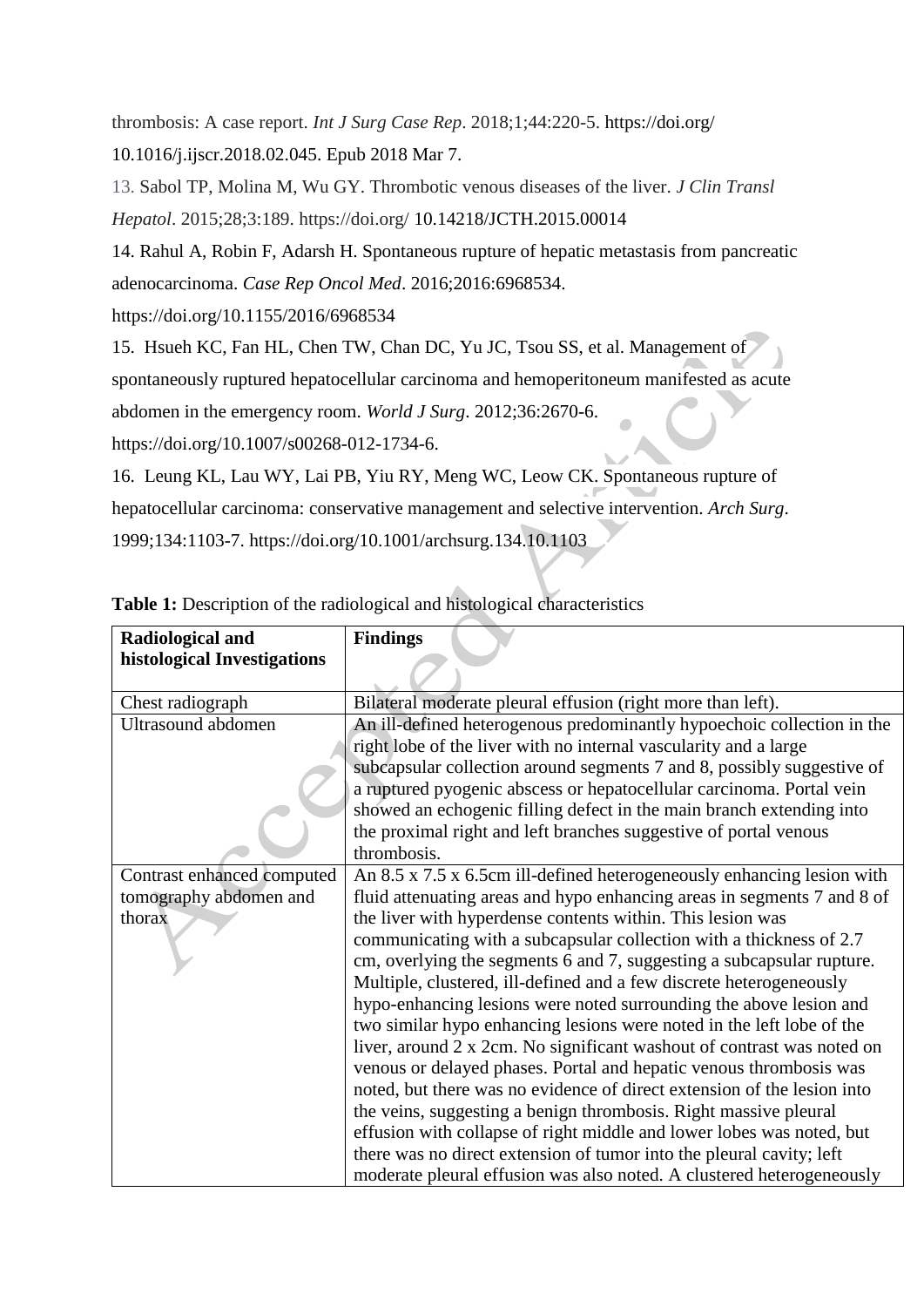thrombosis: A case report. *Int J Surg Case Rep*. 2018;1;44:220-5. https://doi.org/ 10.1016/j.ijscr.2018.02.045. Epub 2018 Mar 7.

13. Sabol TP, Molina M, Wu GY. Thrombotic venous diseases of the liver. *J Clin Transl Hepatol*. 2015;28;3:189. https://doi.org/ [10.14218/JCTH.2015.00014](https://dx.doi.org/10.14218%2FJCTH.2015.00014) 

14. Rahul A, Robin F, Adarsh H. Spontaneous rupture of hepatic metastasis from pancreatic adenocarcinoma. *Case Rep Oncol Med*. 2016;2016:6968534.

https://doi.org[/10.1155/2016/6968534](https://dx.doi.org/10.1155%2F2016%2F6968534)

15. Hsueh KC, Fan HL, Chen TW, Chan DC, Yu JC, Tsou SS, et al. Management of

spontaneously ruptured hepatocellular carcinoma and hemoperitoneum manifested as acute

abdomen in the emergency room. *World J Surg*. 2012;36:2670-6.

https://doi.org/10.1007/s00268-012-1734-6.

16. Leung KL, Lau WY, Lai PB, Yiu RY, Meng WC, Leow CK. Spontaneous rupture of hepatocellular carcinoma: conservative management and selective intervention. *Arch Surg*. 1999;134:1103-7. https://doi.org/10.1001/archsurg.134.10.1103

| Radiological and            | <b>Findings</b>                                                                     |
|-----------------------------|-------------------------------------------------------------------------------------|
| histological Investigations |                                                                                     |
|                             |                                                                                     |
| Chest radiograph            | Bilateral moderate pleural effusion (right more than left).                         |
| Ultrasound abdomen          | An ill-defined heterogenous predominantly hypoechoic collection in the              |
|                             | right lobe of the liver with no internal vascularity and a large                    |
|                             | subcapsular collection around segments 7 and 8, possibly suggestive of              |
|                             | a ruptured pyogenic abscess or hepatocellular carcinoma. Portal vein                |
|                             | showed an echogenic filling defect in the main branch extending into                |
|                             | the proximal right and left branches suggestive of portal venous                    |
|                             | thrombosis.                                                                         |
| Contrast enhanced computed  | An $8.5 \times 7.5 \times 6.5$ cm ill-defined heterogeneously enhancing lesion with |
| tomography abdomen and      | fluid attenuating areas and hypo enhancing areas in segments 7 and 8 of             |
| thorax                      | the liver with hyperdense contents within. This lesion was                          |
|                             | communicating with a subcapsular collection with a thickness of 2.7                 |
|                             | cm, overlying the segments 6 and 7, suggesting a subcapsular rupture.               |
|                             | Multiple, clustered, ill-defined and a few discrete heterogeneously                 |
|                             | hypo-enhancing lesions were noted surrounding the above lesion and                  |
|                             | two similar hypo enhancing lesions were noted in the left lobe of the               |
|                             | liver, around 2 x 2cm. No significant washout of contrast was noted on              |
|                             | venous or delayed phases. Portal and hepatic venous thrombosis was                  |
|                             | noted, but there was no evidence of direct extension of the lesion into             |
|                             | the veins, suggesting a benign thrombosis. Right massive pleural                    |
|                             | effusion with collapse of right middle and lower lobes was noted, but               |
|                             | there was no direct extension of tumor into the pleural cavity; left                |
|                             | moderate pleural effusion was also noted. A clustered heterogeneously               |

**Table 1:** Description of the radiological and histological characteristics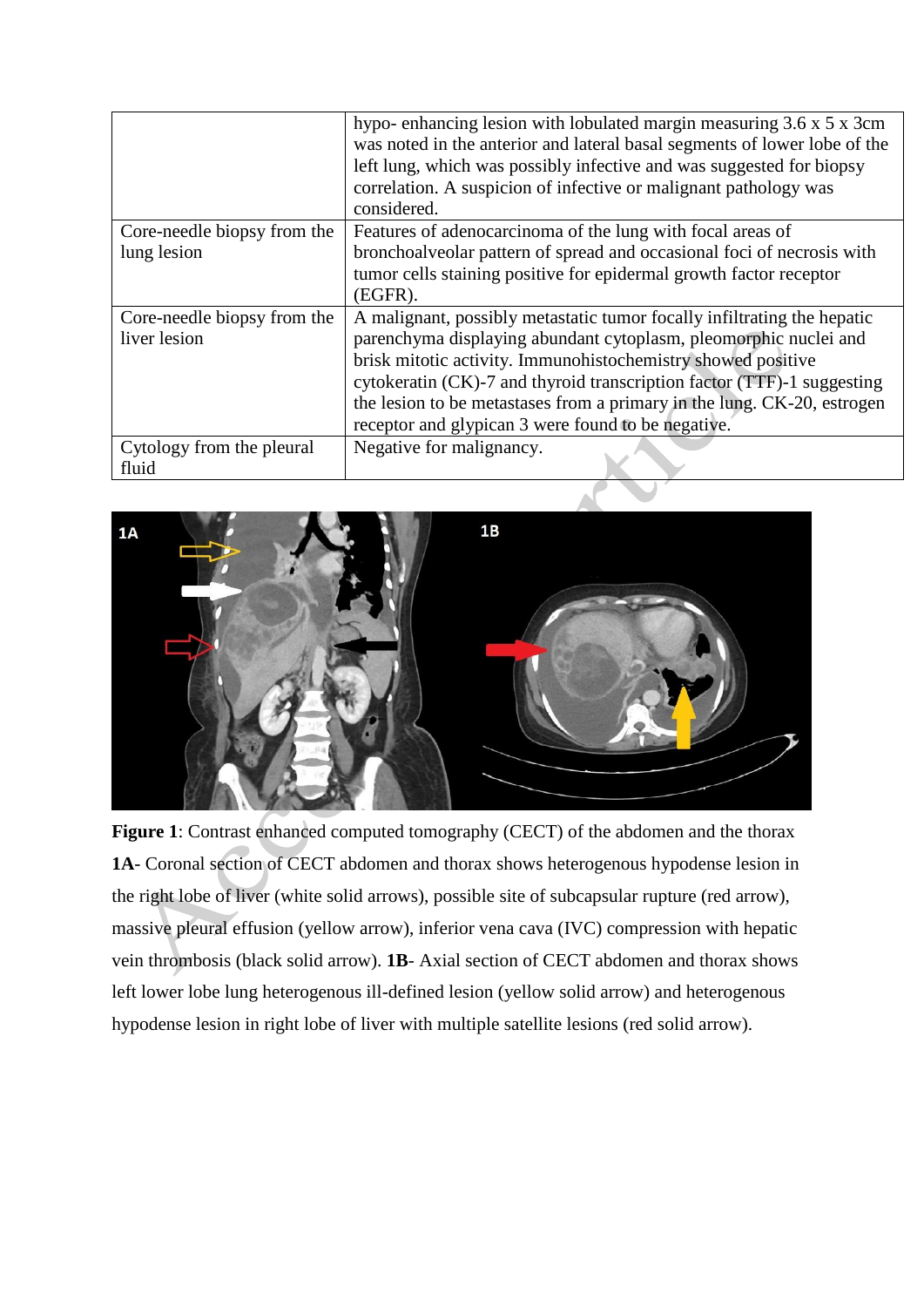|                             | hypo-enhancing lesion with lobulated margin measuring 3.6 x 5 x 3cm       |
|-----------------------------|---------------------------------------------------------------------------|
|                             | was noted in the anterior and lateral basal segments of lower lobe of the |
|                             | left lung, which was possibly infective and was suggested for biopsy      |
|                             | correlation. A suspicion of infective or malignant pathology was          |
|                             | considered.                                                               |
| Core-needle biopsy from the | Features of adenocarcinoma of the lung with focal areas of                |
| lung lesion                 | bronchoalveolar pattern of spread and occasional foci of necrosis with    |
|                             | tumor cells staining positive for epidermal growth factor receptor        |
|                             | (EGFR).                                                                   |
| Core-needle biopsy from the | A malignant, possibly metastatic tumor focally infiltrating the hepatic   |
| liver lesion                | parenchyma displaying abundant cytoplasm, pleomorphic nuclei and          |
|                             | brisk mitotic activity. Immunohistochemistry showed positive              |
|                             | cytokeratin (CK)-7 and thyroid transcription factor (TTF)-1 suggesting    |
|                             | the lesion to be metastases from a primary in the lung. CK-20, estrogen   |
|                             | receptor and glypican 3 were found to be negative.                        |
| Cytology from the pleural   | Negative for malignancy.                                                  |
| fluid                       |                                                                           |



**Figure 1**: Contrast enhanced computed tomography (CECT) of the abdomen and the thorax **1A**- Coronal section of CECT abdomen and thorax shows heterogenous hypodense lesion in the right lobe of liver (white solid arrows), possible site of subcapsular rupture (red arrow), massive pleural effusion (yellow arrow), inferior vena cava (IVC) compression with hepatic vein thrombosis (black solid arrow). **1B**- Axial section of CECT abdomen and thorax shows left lower lobe lung heterogenous ill-defined lesion (yellow solid arrow) and heterogenous hypodense lesion in right lobe of liver with multiple satellite lesions (red solid arrow).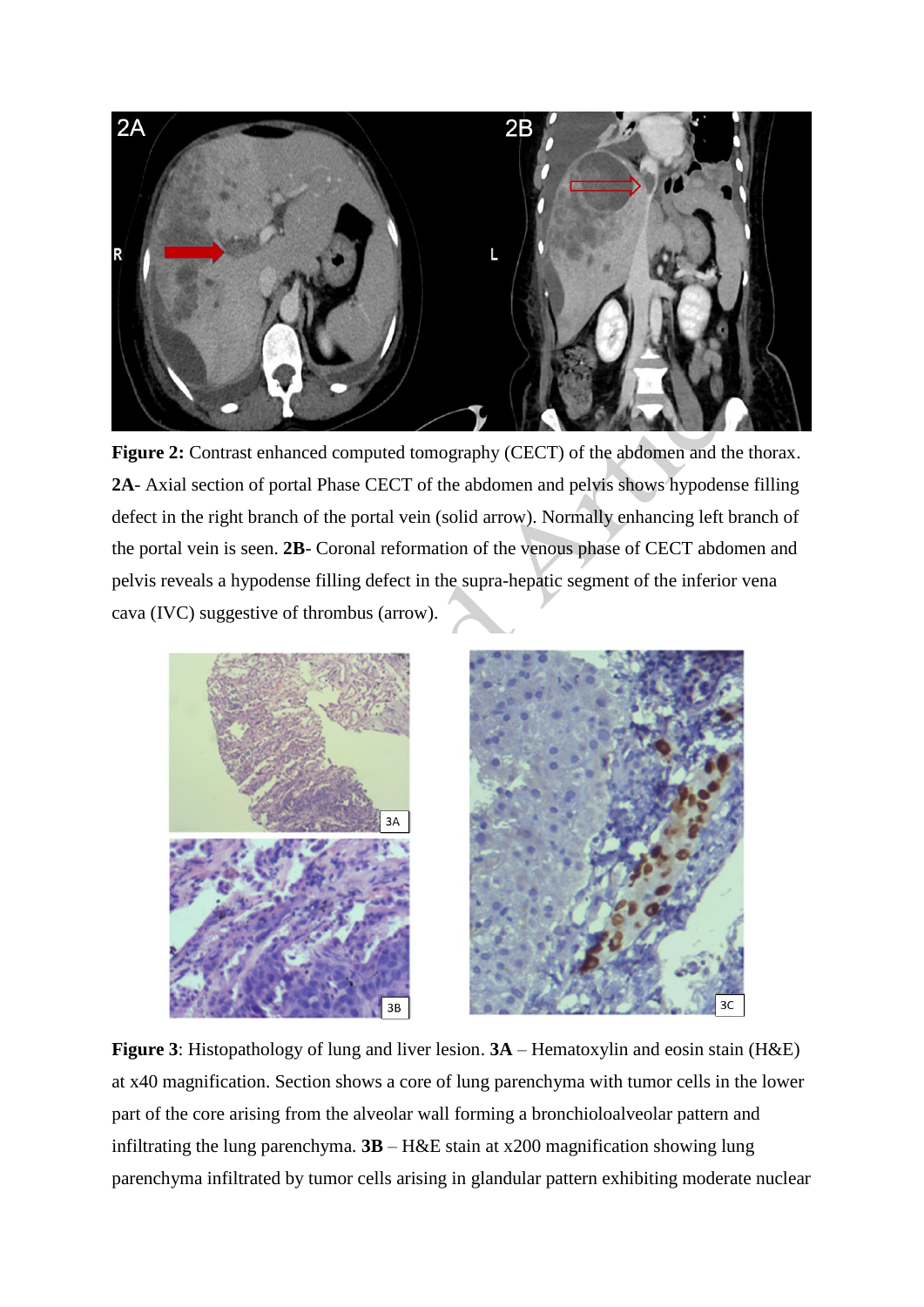

**Figure 2:** Contrast enhanced computed tomography (CECT) of the abdomen and the thorax. **2A**- Axial section of portal Phase CECT of the abdomen and pelvis shows hypodense filling defect in the right branch of the portal vein (solid arrow). Normally enhancing left branch of the portal vein is seen. **2B**- Coronal reformation of the venous phase of CECT abdomen and pelvis reveals a hypodense filling defect in the supra-hepatic segment of the inferior vena cava (IVC) suggestive of thrombus (arrow).



**Figure 3**: Histopathology of lung and liver lesion. **3A** – Hematoxylin and eosin stain (H&E) at x40 magnification. Section shows a core of lung parenchyma with tumor cells in the lower part of the core arising from the alveolar wall forming a bronchioloalveolar pattern and infiltrating the lung parenchyma. **3B** – H&E stain at x200 magnification showing lung parenchyma infiltrated by tumor cells arising in glandular pattern exhibiting moderate nuclear